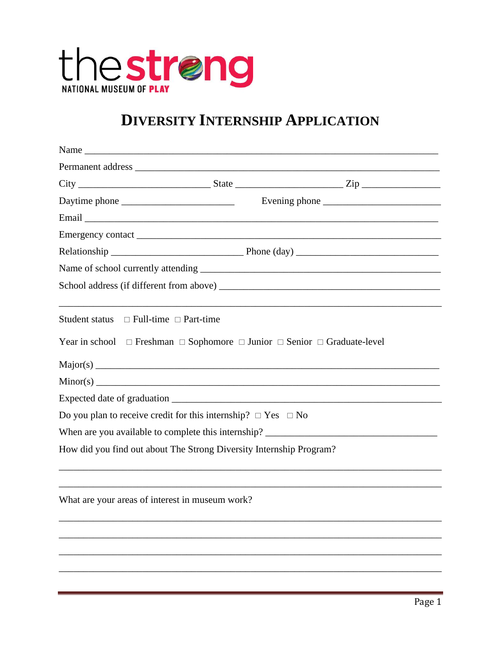

## **DIVERSITY INTERNSHIP APPLICATION**

| Student status $\Box$ Full-time $\Box$ Part-time |                                                                         | ,我们也不会有什么。""我们的人,我们也不会有什么?""我们的人,我们也不会有什么?""我们的人,我们也不会有什么?""我们的人,我们也不会有什么?""我们的人                  |
|--------------------------------------------------|-------------------------------------------------------------------------|---------------------------------------------------------------------------------------------------|
|                                                  |                                                                         | Year in school $\Box$ Freshman $\Box$ Sophomore $\Box$ Junior $\Box$ Senior $\Box$ Graduate-level |
|                                                  |                                                                         |                                                                                                   |
|                                                  |                                                                         |                                                                                                   |
|                                                  |                                                                         |                                                                                                   |
|                                                  | Do you plan to receive credit for this internship? $\Box$ Yes $\Box$ No |                                                                                                   |
|                                                  |                                                                         |                                                                                                   |
|                                                  | How did you find out about The Strong Diversity Internship Program?     |                                                                                                   |
|                                                  |                                                                         |                                                                                                   |
| What are your areas of interest in museum work?  |                                                                         |                                                                                                   |
|                                                  |                                                                         |                                                                                                   |
|                                                  |                                                                         |                                                                                                   |
|                                                  |                                                                         |                                                                                                   |
|                                                  |                                                                         |                                                                                                   |